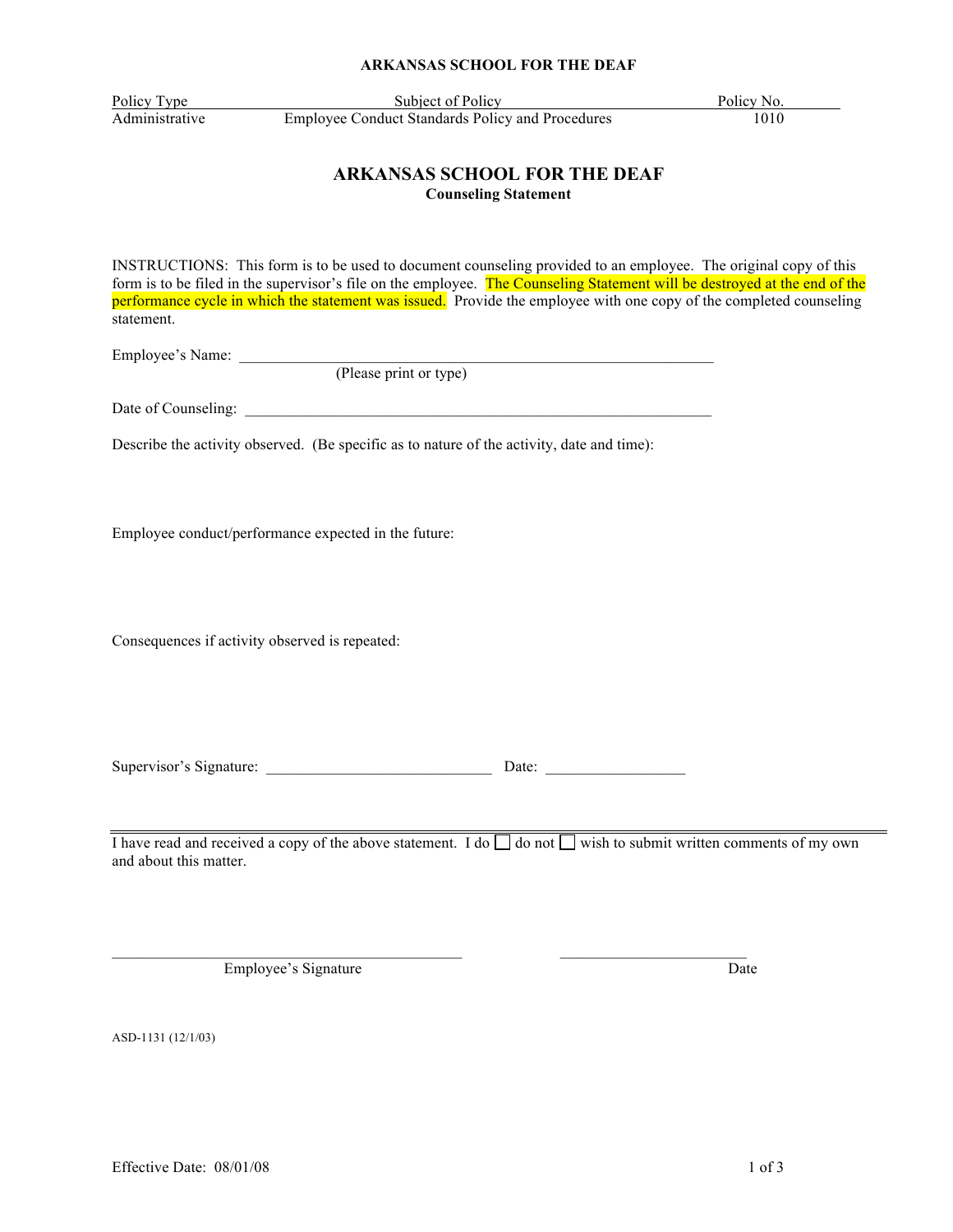### **ARKANSAS SCHOOL FOR THE DEAF**

Policy Type Subject of Policy Policy Policy No. Administrative Employee Conduct Standards Policy and Procedures 1010

## **ARKANSAS SCHOOL FOR THE DEAF Counseling Statement**

INSTRUCTIONS: This form is to be used to document counseling provided to an employee. The original copy of this form is to be filed in the supervisor's file on the employee. The Counseling Statement will be destroyed at the end of the performance cycle in which the statement was issued. Provide the employee with one copy of the completed counseling statement.

Employee's Name:

(Please print or type)

Date of Counseling: \_\_\_\_\_\_\_\_\_\_\_\_\_\_\_\_\_\_\_\_\_\_\_\_\_\_\_\_\_\_\_\_\_\_\_\_\_\_\_\_\_\_\_\_\_\_\_\_\_\_\_\_\_\_\_\_\_\_\_\_

Describe the activity observed. (Be specific as to nature of the activity, date and time):

Employee conduct/performance expected in the future:

Consequences if activity observed is repeated:

Supervisor's Signature: <br>
Date:

I have read and received a copy of the above statement. I do  $\Box$  do not  $\Box$  wish to submit written comments of my own and about this matter.

Employee's Signature Date

ASD-1131 (12/1/03)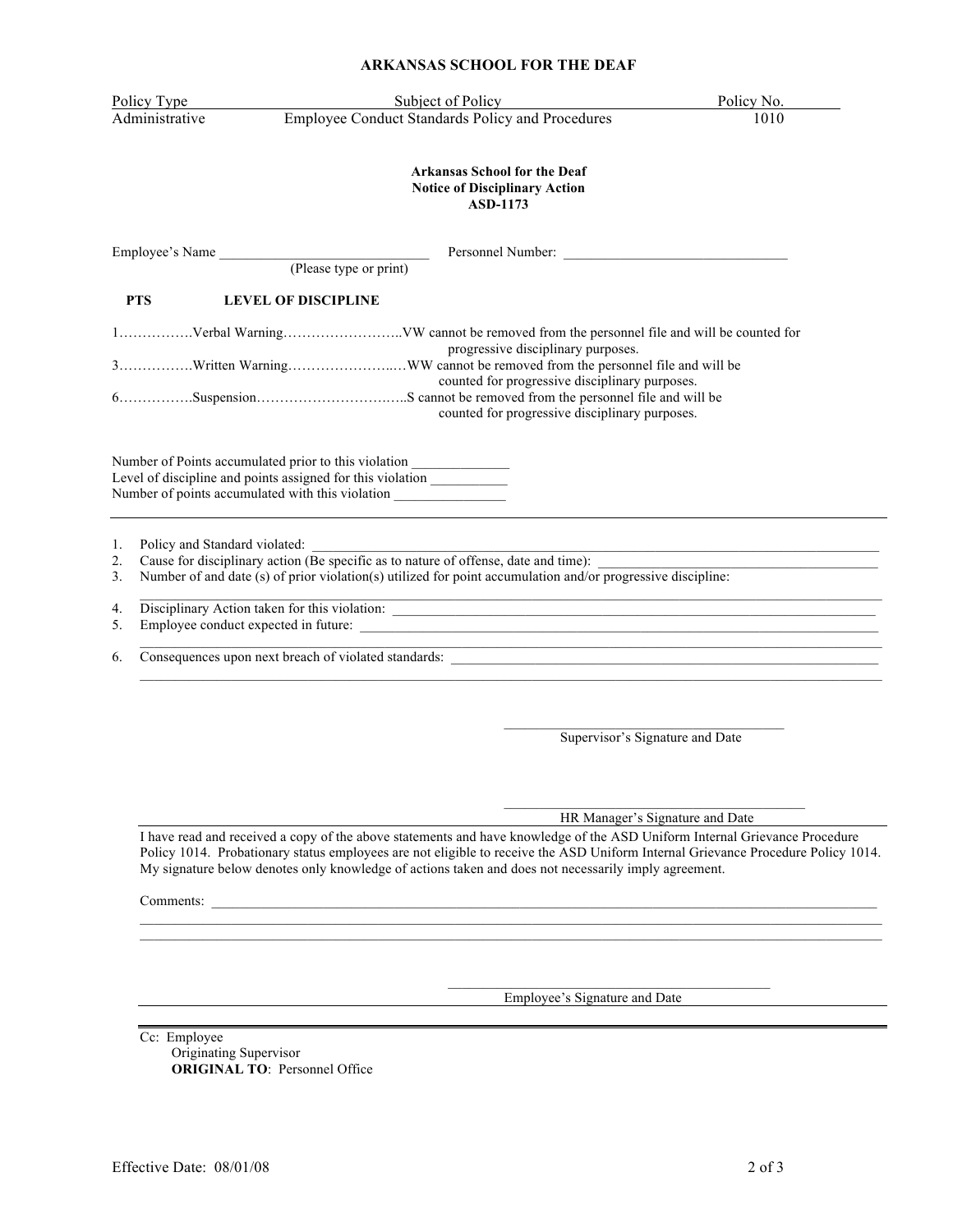#### **ARKANSAS SCHOOL FOR THE DEAF**

| <b>ARKANSAS SCHOOL FOR THE DEAF</b> |                                                                                                                                                                                                                                     |            |
|-------------------------------------|-------------------------------------------------------------------------------------------------------------------------------------------------------------------------------------------------------------------------------------|------------|
| Policy Type                         | Subject of Policy                                                                                                                                                                                                                   | Policy No. |
| Administrative                      | Employee Conduct Standards Policy and Procedures                                                                                                                                                                                    | 1010       |
|                                     | <b>Arkansas School for the Deaf</b><br><b>Notice of Disciplinary Action</b><br><b>ASD-1173</b>                                                                                                                                      |            |
|                                     | Employee's Name (Please type or print)                                                                                                                                                                                              |            |
|                                     |                                                                                                                                                                                                                                     |            |
| <b>PTS</b>                          | <b>LEVEL OF DISCIPLINE</b>                                                                                                                                                                                                          |            |
|                                     | progressive disciplinary purposes.<br>counted for progressive disciplinary purposes.<br>counted for progressive disciplinary purposes.                                                                                              |            |
|                                     | Number of Points accumulated prior to this violation ___________________________<br>Level of discipline and points assigned for this violation _______________<br>Number of points accumulated with this violation                  |            |
| 1.                                  |                                                                                                                                                                                                                                     |            |
| $\overline{2}$ .<br>3.              | Policy and Standard violated:<br>Cause for disciplinary action (Be specific as to nature of offense, date and time):<br>Number of and date (s) of prior violation(s) utilized for point accumulation and/or progressive discipline: |            |
| 4.                                  | <u> 1989 - Johann Stoff, amerikansk politiker (d. 1989)</u>                                                                                                                                                                         |            |
| 5.                                  |                                                                                                                                                                                                                                     |            |
|                                     |                                                                                                                                                                                                                                     |            |

 $\mathcal{L}_\text{max}$ Supervisor's Signature and Date

 $\mathcal{L}_\text{max}$  , which is a set of the set of the set of the set of the set of the set of the set of the set of the set of the set of the set of the set of the set of the set of the set of the set of the set of the set of HR Manager's Signature and Date

I have read and received a copy of the above statements and have knowledge of the ASD Uniform Internal Grievance Procedure Policy 1014. Probationary status employees are not eligible to receive the ASD Uniform Internal Grievance Procedure Policy 1014. My signature below denotes only knowledge of actions taken and does not necessarily imply agreement.

Comments:

Employee's Signature and Date

Cc: Employee Originating Supervisor **ORIGINAL TO**: Personnel Office